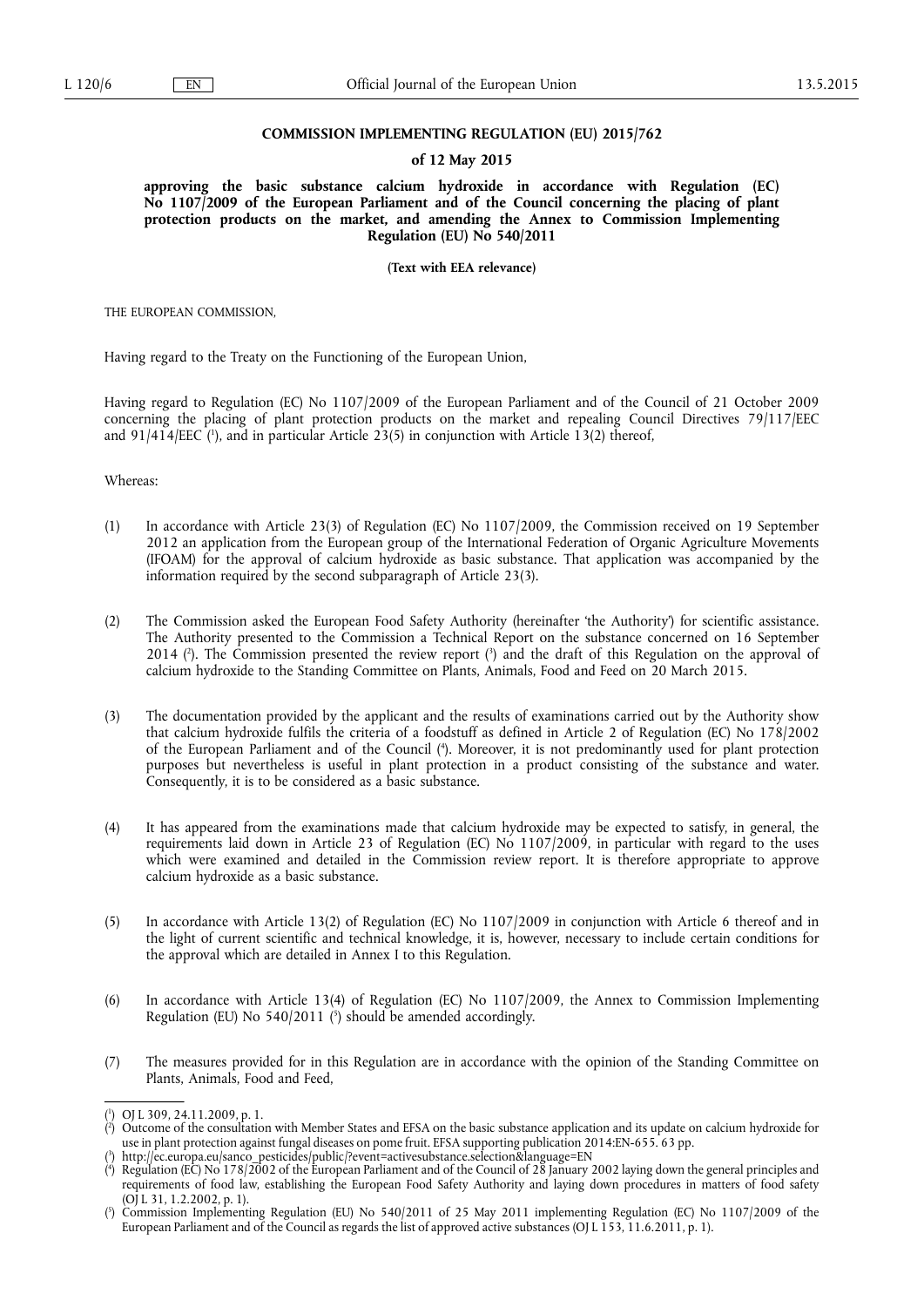#### **COMMISSION IMPLEMENTING REGULATION (EU) 2015/762**

#### **of 12 May 2015**

**approving the basic substance calcium hydroxide in accordance with Regulation (EC) No 1107/2009 of the European Parliament and of the Council concerning the placing of plant protection products on the market, and amending the Annex to Commission Implementing Regulation (EU) No 540/2011** 

**(Text with EEA relevance)** 

THE EUROPEAN COMMISSION,

Having regard to the Treaty on the Functioning of the European Union,

Having regard to Regulation (EC) No 1107/2009 of the European Parliament and of the Council of 21 October 2009 concerning the placing of plant protection products on the market and repealing Council Directives 79/117/EEC and 91/414/EEC ( 1 ), and in particular Article 23(5) in conjunction with Article 13(2) thereof,

Whereas:

- (1) In accordance with Article 23(3) of Regulation (EC) No 1107/2009, the Commission received on 19 September 2012 an application from the European group of the International Federation of Organic Agriculture Movements (IFOAM) for the approval of calcium hydroxide as basic substance. That application was accompanied by the information required by the second subparagraph of Article 23(3).
- (2) The Commission asked the European Food Safety Authority (hereinafter 'the Authority') for scientific assistance. The Authority presented to the Commission a Technical Report on the substance concerned on 16 September 2014 (?). The Commission presented the review report (?) and the draft of this Regulation on the approval of calcium hydroxide to the Standing Committee on Plants, Animals, Food and Feed on 20 March 2015.
- (3) The documentation provided by the applicant and the results of examinations carried out by the Authority show that calcium hydroxide fulfils the criteria of a foodstuff as defined in Article 2 of Regulation (EC) No 178/2002 of the European Parliament and of the Council ( 4 ). Moreover, it is not predominantly used for plant protection purposes but nevertheless is useful in plant protection in a product consisting of the substance and water. Consequently, it is to be considered as a basic substance.
- (4) It has appeared from the examinations made that calcium hydroxide may be expected to satisfy, in general, the requirements laid down in Article 23 of Regulation (EC) No 1107/2009, in particular with regard to the uses which were examined and detailed in the Commission review report. It is therefore appropriate to approve calcium hydroxide as a basic substance.
- (5) In accordance with Article 13(2) of Regulation (EC) No 1107/2009 in conjunction with Article 6 thereof and in the light of current scientific and technical knowledge, it is, however, necessary to include certain conditions for the approval which are detailed in Annex I to this Regulation.
- (6) In accordance with Article 13(4) of Regulation (EC) No 1107/2009, the Annex to Commission Implementing Regulation (EU) No 540/2011 ( 5 ) should be amended accordingly.
- (7) The measures provided for in this Regulation are in accordance with the opinion of the Standing Committee on Plants, Animals, Food and Feed,

<sup>(</sup> 1 ) OJ L 309, 24.11.2009, p. 1.

<sup>(</sup> 2 ) Outcome of the consultation with Member States and EFSA on the basic substance application and its update on calcium hydroxide for use in plant protection against fungal diseases on pome fruit. EFSA supporting publication 2014:EN-655. 63 pp.

<sup>(</sup> 3 ) [http://ec.europa.eu/sanco\\_pesticides/public/?event=activesubstance.selection&language=EN](http://ec.europa.eu/sanco_pesticides/public/?event=activesubstance.selection&language=EN) 

<sup>(</sup> 4 ) Regulation (EC) No 178/2002 of the European Parliament and of the Council of 28 January 2002 laying down the general principles and requirements of food law, establishing the European Food Safety Authority and laying down procedures in matters of food safety (OJ L 31, 1.2.2002, p. 1).

<sup>(</sup> 5 ) Commission Implementing Regulation (EU) No 540/2011 of 25 May 2011 implementing Regulation (EC) No 1107/2009 of the European Parliament and of the Council as regards the list of approved active substances (OJ L 153, 11.6.2011, p. 1).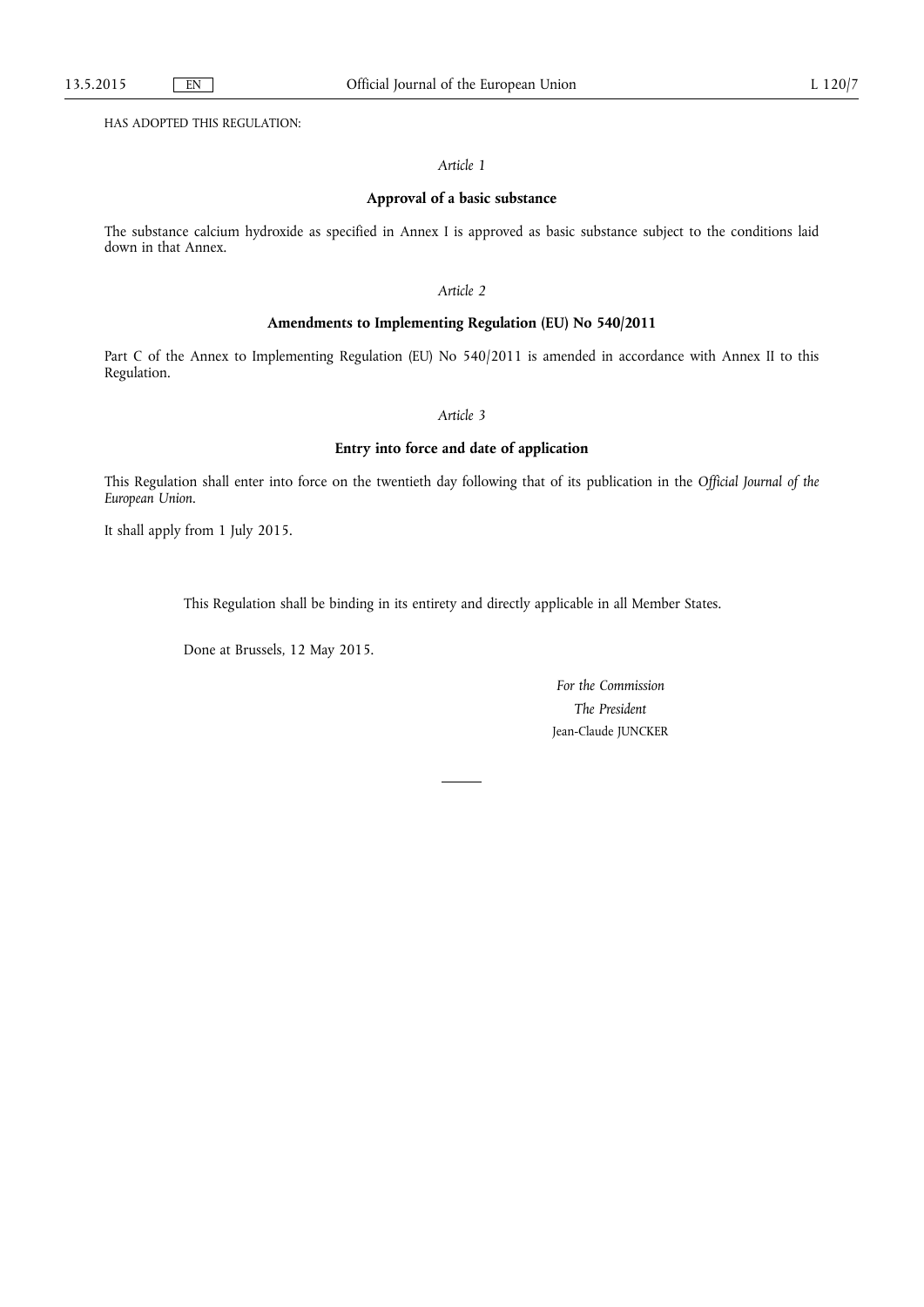HAS ADOPTED THIS REGULATION:

# *Article 1*

## **Approval of a basic substance**

The substance calcium hydroxide as specified in Annex I is approved as basic substance subject to the conditions laid down in that Annex.

### *Article 2*

## **Amendments to Implementing Regulation (EU) No 540/2011**

Part C of the Annex to Implementing Regulation (EU) No 540/2011 is amended in accordance with Annex II to this Regulation.

### *Article 3*

## **Entry into force and date of application**

This Regulation shall enter into force on the twentieth day following that of its publication in the *Official Journal of the European Union*.

It shall apply from 1 July 2015.

This Regulation shall be binding in its entirety and directly applicable in all Member States.

Done at Brussels, 12 May 2015.

*For the Commission The President*  Jean-Claude JUNCKER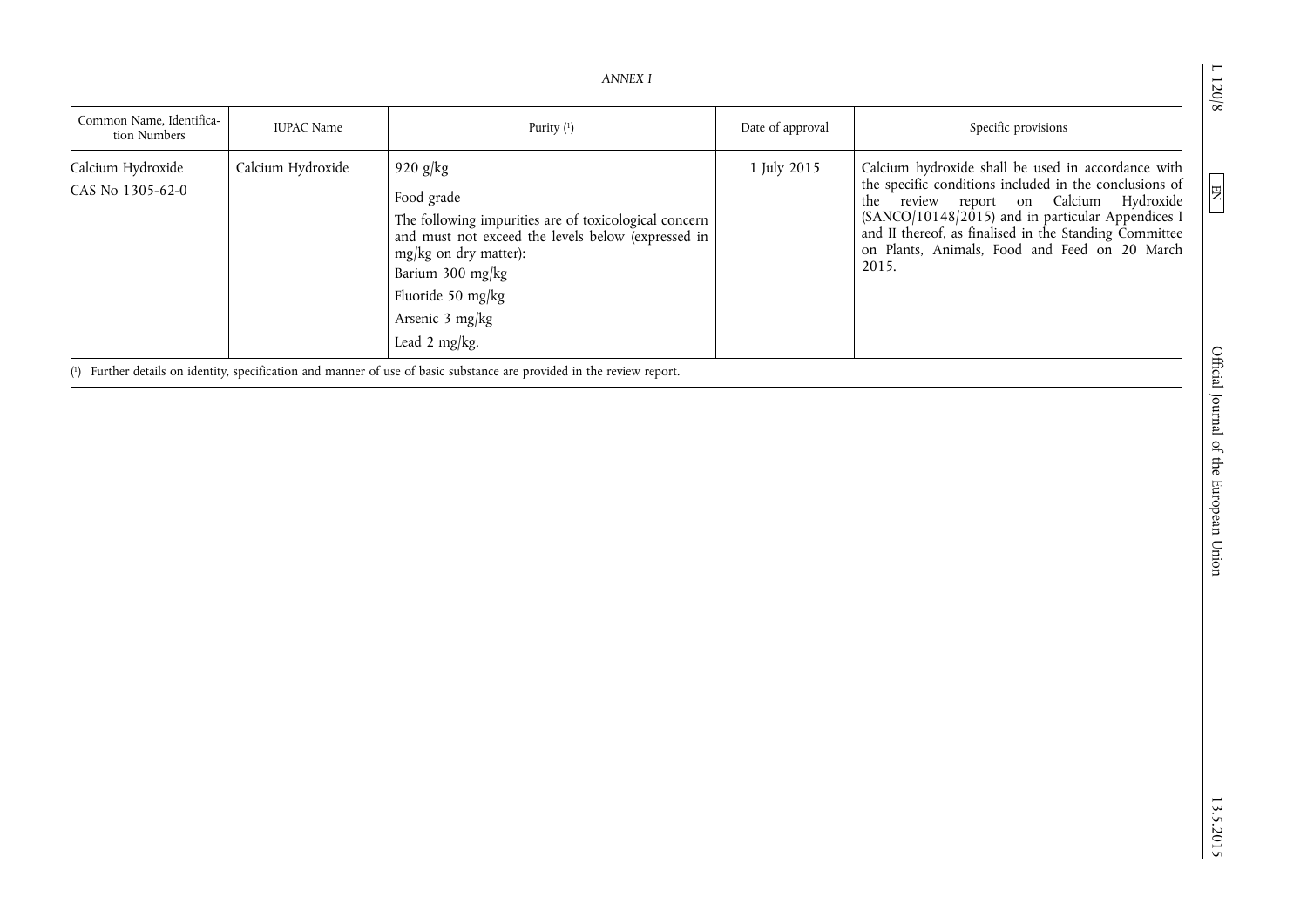| Common Name, Identifica-<br>tion Numbers | <b>IUPAC</b> Name | Purity $(1)$                                                                                                                                                                                                                                               | Date of approval | Specific provisions                                                                                                                                                                                                                                                                                                             |
|------------------------------------------|-------------------|------------------------------------------------------------------------------------------------------------------------------------------------------------------------------------------------------------------------------------------------------------|------------------|---------------------------------------------------------------------------------------------------------------------------------------------------------------------------------------------------------------------------------------------------------------------------------------------------------------------------------|
| Calcium Hydroxide<br>CAS No 1305-62-0    | Calcium Hydroxide | 920 $g/kg$<br>Food grade<br>The following impurities are of toxicological concern<br>and must not exceed the levels below (expressed in<br>mg/kg on dry matter):<br>Barium 300 mg/kg<br>Fluoride 50 mg/kg<br>Arsenic $3$ mg/kg<br>Lead $2 \text{ mg/kg}$ . | 1 July 2015      | Calcium hydroxide shall be used in accordance with<br>the specific conditions included in the conclusions of<br>the review report on Calcium Hydroxide<br>(SANCO/10148/2015) and in particular Appendices I<br>and II thereof, as finalised in the Standing Committee<br>on Plants, Animals, Food and Feed on 20 March<br>2015. |

*ANNEX I* 

( 1) Further details on identity, specification and manner of use of basic substance are provided in the review report.

13.5.2015

 $L$  120/8  $\,$ 

 $\boxed{\phantom{000} \text{EM}}$